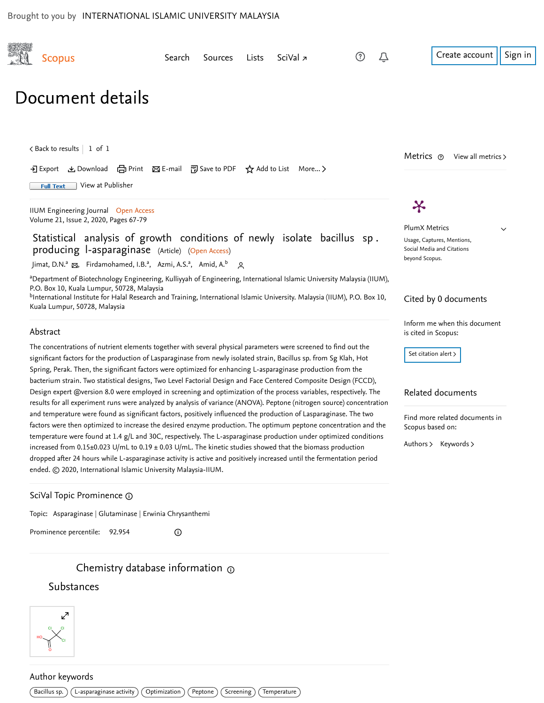<span id="page-0-1"></span><span id="page-0-0"></span>



## Author keywords